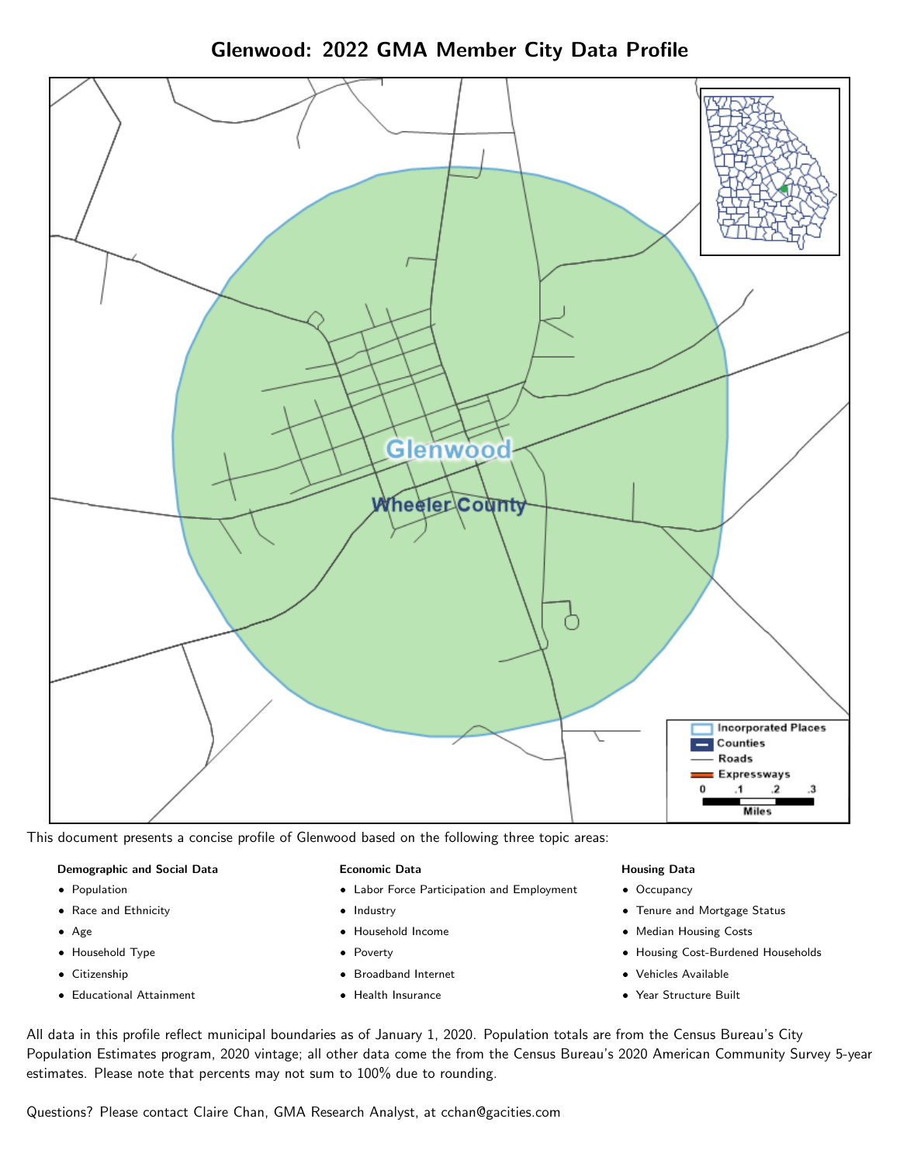Glenwood: 2022 GMA Member City Data Profile



This document presents a concise profile of Glenwood based on the following three topic areas:

#### Demographic and Social Data

- **•** Population
- Race and Ethnicity
- Age
- Household Type
- **Citizenship**
- Educational Attainment

#### Economic Data

- Labor Force Participation and Employment
- Industry
- Household Income
- Poverty
- Broadband Internet
- Health Insurance

#### Housing Data

- Occupancy
- Tenure and Mortgage Status
- Median Housing Costs
- Housing Cost-Burdened Households
- Vehicles Available
- Year Structure Built

All data in this profile reflect municipal boundaries as of January 1, 2020. Population totals are from the Census Bureau's City Population Estimates program, 2020 vintage; all other data come the from the Census Bureau's 2020 American Community Survey 5-year estimates. Please note that percents may not sum to 100% due to rounding.

Questions? Please contact Claire Chan, GMA Research Analyst, at [cchan@gacities.com.](mailto:cchan@gacities.com)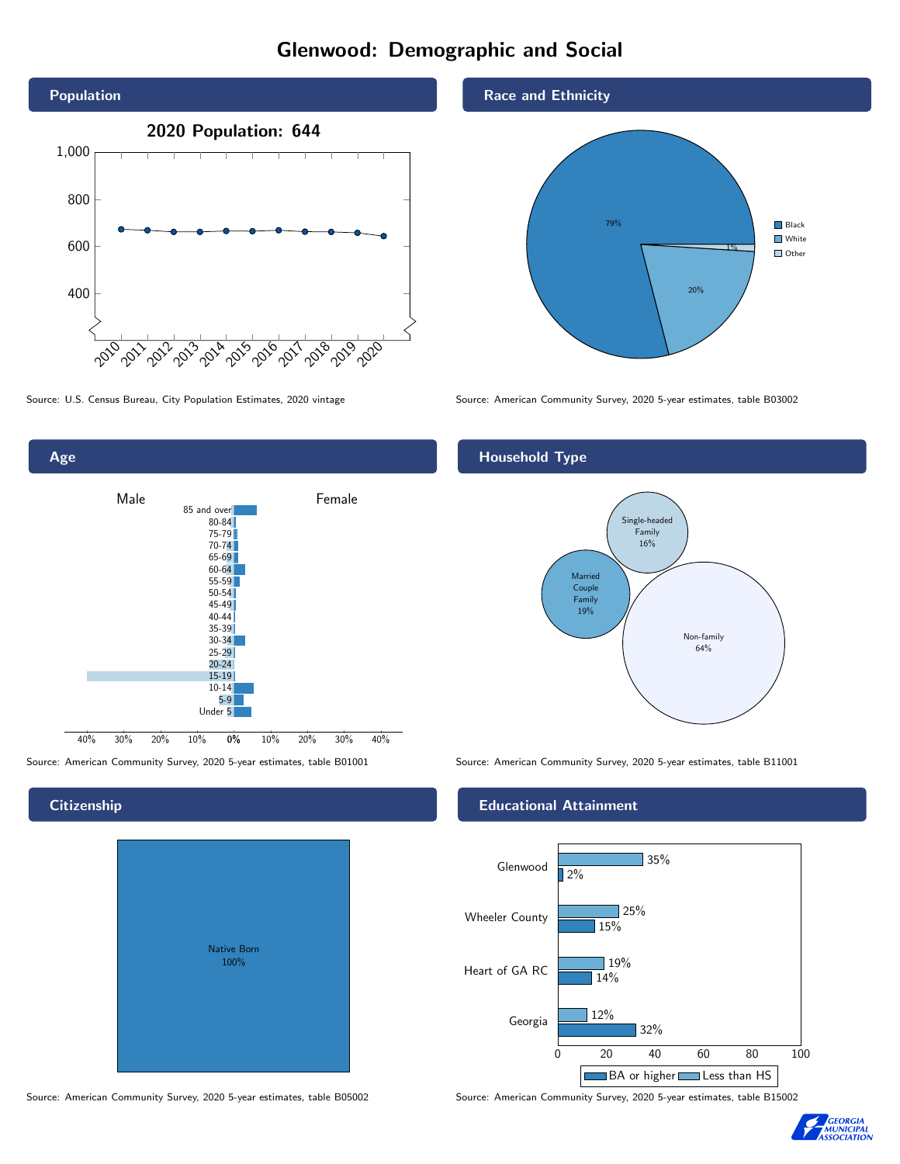# Glenwood: Demographic and Social





**Citizenship** 

# Native Born 100%

Race and Ethnicity



Source: U.S. Census Bureau, City Population Estimates, 2020 vintage Source: American Community Survey, 2020 5-year estimates, table B03002

## Household Type



Source: American Community Survey, 2020 5-year estimates, table B01001 Source: American Community Survey, 2020 5-year estimates, table B11001

#### Educational Attainment



Source: American Community Survey, 2020 5-year estimates, table B05002 Source: American Community Survey, 2020 5-year estimates, table B15002

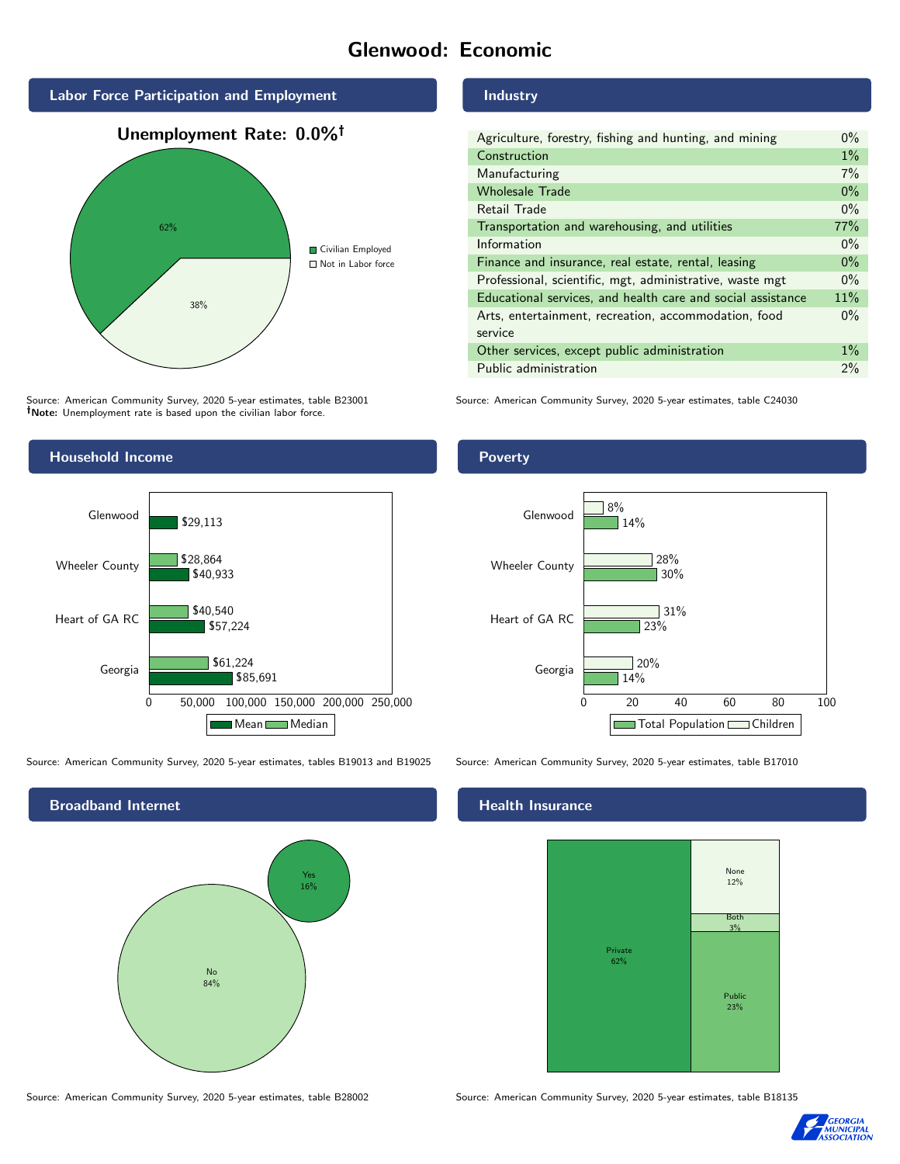# Glenwood: Economic



Source: American Community Survey, 2020 5-year estimates, table B23001 Note: Unemployment rate is based upon the civilian labor force.



Source: American Community Survey, 2020 5-year estimates, tables B19013 and B19025 Source: American Community Survey, 2020 5-year estimates, table B17010



#### Industry

| Agriculture, forestry, fishing and hunting, and mining      | $0\%$ |
|-------------------------------------------------------------|-------|
| Construction                                                | $1\%$ |
| Manufacturing                                               | 7%    |
| <b>Wholesale Trade</b>                                      | $0\%$ |
| Retail Trade                                                | $0\%$ |
| Transportation and warehousing, and utilities               | 77%   |
| Information                                                 | $0\%$ |
| Finance and insurance, real estate, rental, leasing         | $0\%$ |
| Professional, scientific, mgt, administrative, waste mgt    | $0\%$ |
| Educational services, and health care and social assistance | 11%   |
| Arts, entertainment, recreation, accommodation, food        | $0\%$ |
| service                                                     |       |
| Other services, except public administration                | $1\%$ |
| Public administration                                       | 2%    |

Source: American Community Survey, 2020 5-year estimates, table C24030

## Poverty



## **Health Insurance**



Source: American Community Survey, 2020 5-year estimates, table B28002 Source: American Community Survey, 2020 5-year estimates, table B18135